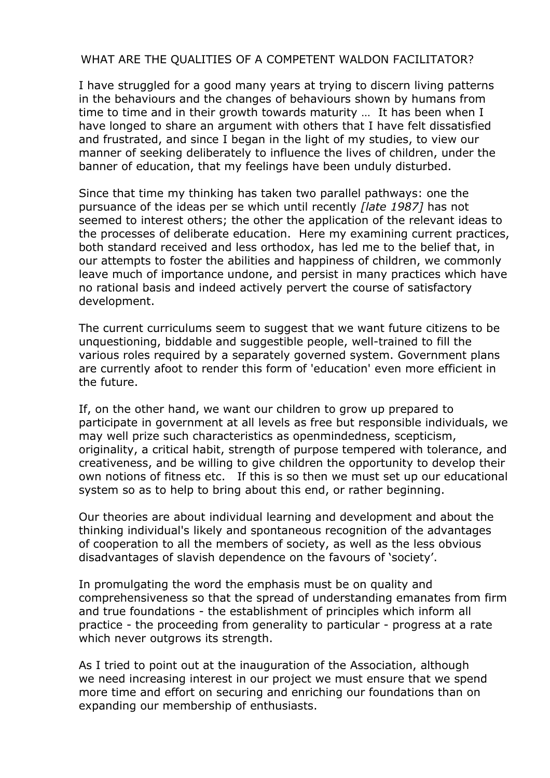## WHAT ARE THE QUALITIES OF A COMPETENT WALDON FACILITATOR?

I have struggled for a good many years at trying to discern living patterns in the behaviours and the changes of behaviours shown by humans from time to time and in their growth towards maturity … It has been when I have longed to share an argument with others that I have felt dissatisfied and frustrated, and since I began in the light of my studies, to view our manner of seeking deliberately to influence the lives of children, under the banner of education, that my feelings have been unduly disturbed.

Since that time my thinking has taken two parallel pathways: one the pursuance of the ideas per se which until recently *[late 1987]* has not seemed to interest others; the other the application of the relevant ideas to the processes of deliberate education. Here my examining current practices, both standard received and less orthodox, has led me to the belief that, in our attempts to foster the abilities and happiness of children, we commonly leave much of importance undone, and persist in many practices which have no rational basis and indeed actively pervert the course of satisfactory development.

The current curriculums seem to suggest that we want future citizens to be unquestioning, biddable and suggestible people, well-trained to fill the various roles required by a separately governed system. Government plans are currently afoot to render this form of 'education' even more efficient in the future.

If, on the other hand, we want our children to grow up prepared to participate in government at all levels as free but responsible individuals, we may well prize such characteristics as openmindedness, scepticism, originality, a critical habit, strength of purpose tempered with tolerance, and creativeness, and be willing to give children the opportunity to develop their own notions of fitness etc. If this is so then we must set up our educational system so as to help to bring about this end, or rather beginning.

Our theories are about individual learning and development and about the thinking individual's likely and spontaneous recognition of the advantages of cooperation to all the members of society, as well as the less obvious disadvantages of slavish dependence on the favours of 'society'.

In promulgating the word the emphasis must be on quality and comprehensiveness so that the spread of understanding emanates from firm and true foundations - the establishment of principles which inform all practice - the proceeding from generality to particular - progress at a rate which never outgrows its strength.

As I tried to point out at the inauguration of the Association, although we need increasing interest in our project we must ensure that we spend more time and effort on securing and enriching our foundations than on expanding our membership of enthusiasts.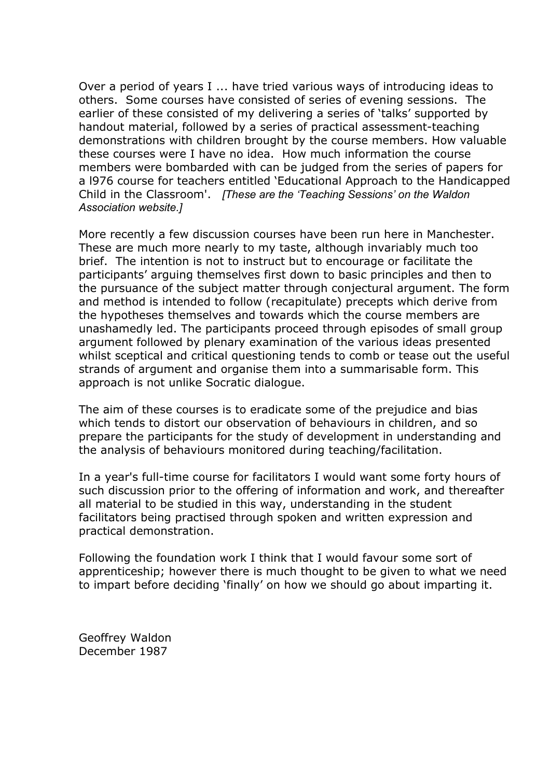Over a period of years I ... have tried various ways of introducing ideas to others. Some courses have consisted of series of evening sessions. The earlier of these consisted of my delivering a series of 'talks' supported by handout material, followed by a series of practical assessment-teaching demonstrations with children brought by the course members. How valuable these courses were I have no idea. How much information the course members were bombarded with can be judged from the series of papers for a l976 course for teachers entitled 'Educational Approach to the Handicapped Child in the Classroom'. *[These are the 'Teaching Sessions' on the Waldon Association website.]*

More recently a few discussion courses have been run here in Manchester. These are much more nearly to my taste, although invariably much too brief. The intention is not to instruct but to encourage or facilitate the participants' arguing themselves first down to basic principles and then to the pursuance of the subject matter through conjectural argument. The form and method is intended to follow (recapitulate) precepts which derive from the hypotheses themselves and towards which the course members are unashamedly led. The participants proceed through episodes of small group argument followed by plenary examination of the various ideas presented whilst sceptical and critical questioning tends to comb or tease out the useful strands of argument and organise them into a summarisable form. This approach is not unlike Socratic dialogue.

The aim of these courses is to eradicate some of the prejudice and bias which tends to distort our observation of behaviours in children, and so prepare the participants for the study of development in understanding and the analysis of behaviours monitored during teaching/facilitation.

In a year's full-time course for facilitators I would want some forty hours of such discussion prior to the offering of information and work, and thereafter all material to be studied in this way, understanding in the student facilitators being practised through spoken and written expression and practical demonstration.

Following the foundation work I think that I would favour some sort of apprenticeship; however there is much thought to be given to what we need to impart before deciding 'finally' on how we should go about imparting it.

Geoffrey Waldon December 1987